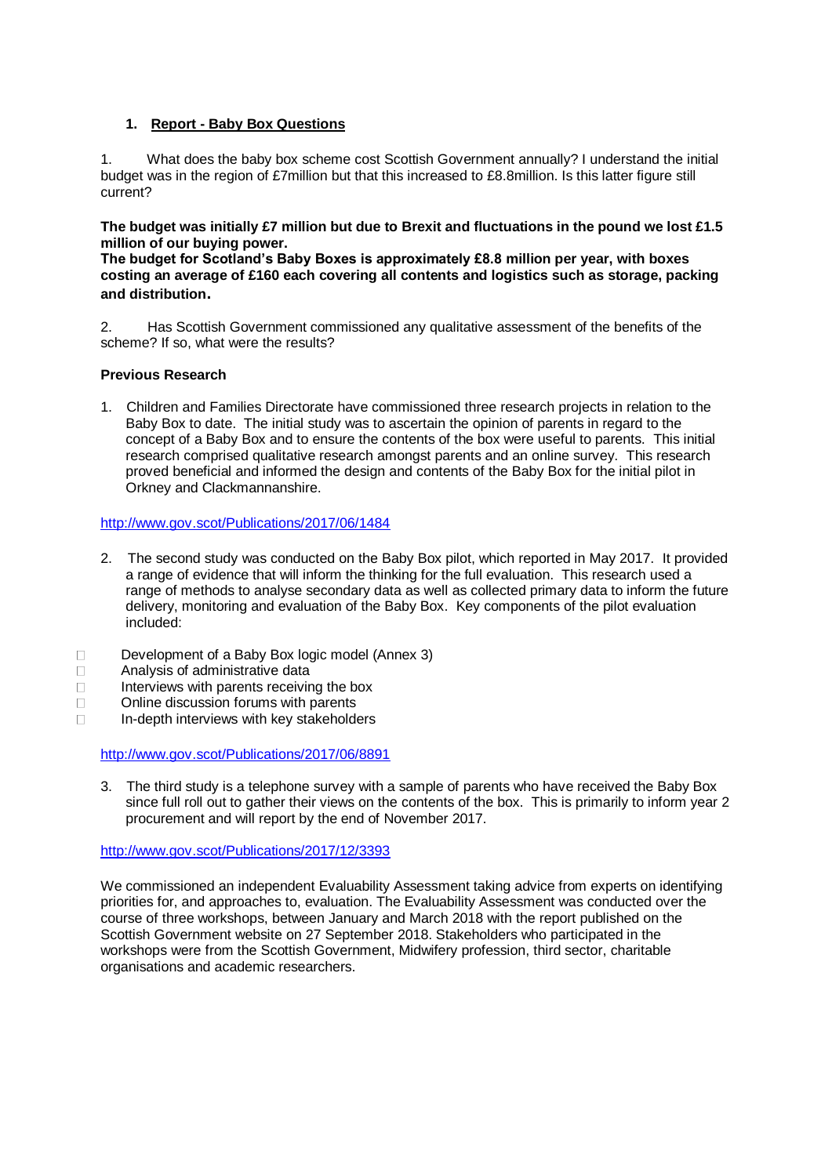# **1. Report - Baby Box Questions**

1. What does the baby box scheme cost Scottish Government annually? I understand the initial budget was in the region of £7million but that this increased to £8.8million. Is this latter figure still current?

**The budget was initially £7 million but due to Brexit and fluctuations in the pound we lost £1.5 million of our buying power.**

**The budget for Scotland's Baby Boxes is approximately £8.8 million per year, with boxes costing an average of £160 each covering all contents and logistics such as storage, packing and distribution.**

2. Has Scottish Government commissioned any qualitative assessment of the benefits of the scheme? If so, what were the results?

# **Previous Research**

1. Children and Families Directorate have commissioned three research projects in relation to the Baby Box to date. The initial study was to ascertain the opinion of parents in regard to the concept of a Baby Box and to ensure the contents of the box were useful to parents. This initial research comprised qualitative research amongst parents and an online survey. This research proved beneficial and informed the design and contents of the Baby Box for the initial pilot in Orkney and Clackmannanshire.

### <http://www.gov.scot/Publications/2017/06/1484>

- 2. The second study was conducted on the Baby Box pilot, which reported in May 2017. It provided a range of evidence that will inform the thinking for the full evaluation. This research used a range of methods to analyse secondary data as well as collected primary data to inform the future delivery, monitoring and evaluation of the Baby Box. Key components of the pilot evaluation included:
- Development of a Baby Box logic model (Annex 3)
- □ Analysis of administrative data
- $\Box$  Interviews with parents receiving the box
- □ Online discussion forums with parents
- $\Box$  In-depth interviews with key stakeholders

<http://www.gov.scot/Publications/2017/06/8891>

3. The third study is a telephone survey with a sample of parents who have received the Baby Box since full roll out to gather their views on the contents of the box. This is primarily to inform year 2 procurement and will report by the end of November 2017.

<http://www.gov.scot/Publications/2017/12/3393>

We commissioned an independent Evaluability Assessment taking advice from experts on identifying priorities for, and approaches to, evaluation. The Evaluability Assessment was conducted over the course of three workshops, between January and March 2018 with the report published on the Scottish Government website on 27 September 2018. Stakeholders who participated in the workshops were from the Scottish Government, Midwifery profession, third sector, charitable organisations and academic researchers.